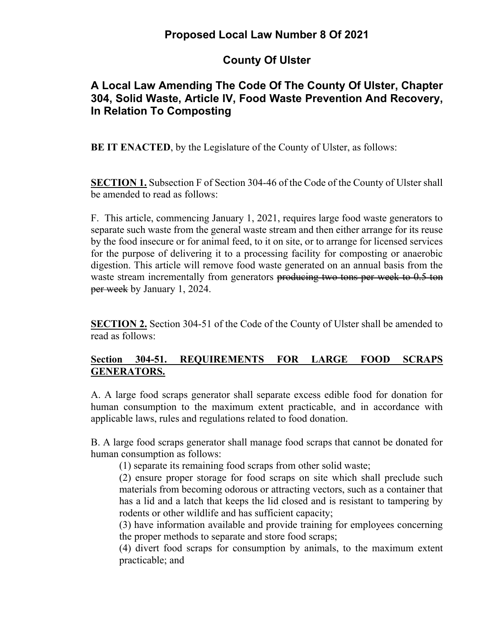# **Proposed Local Law Number 8 Of 2021**

# **County Of Ulster**

## **A Local Law Amending The Code Of The County Of Ulster, Chapter 304, Solid Waste, Article IV, Food Waste Prevention And Recovery, In Relation To Composting**

**BE IT ENACTED**, by the Legislature of the County of Ulster, as follows:

**SECTION 1.** Subsection F of Section 304-46 of the Code of the County of Ulster shall be amended to read as follows:

F. This article, commencing January 1, 2021, requires large food waste generators to separate such waste from the general waste stream and then either arrange for its reuse by the food insecure or for animal feed, to it on site, or to arrange for licensed services for the purpose of delivering it to a processing facility for composting or anaerobic digestion. This article will remove food waste generated on an annual basis from the waste stream incrementally from generators producing two tons per week to 0.5 ton per week by January 1, 2024.

**SECTION 2.** Section 304-51 of the Code of the County of Ulster shall be amended to read as follows:

### **Section 304-51. REQUIREMENTS FOR LARGE FOOD SCRAPS GENERATORS.**

A. A large food scraps generator shall separate excess edible food for donation for human consumption to the maximum extent practicable, and in accordance with applicable laws, rules and regulations related to food donation.

B. A large food scraps generator shall manage food scraps that cannot be donated for human consumption as follows:

(1) separate its remaining food scraps from other solid waste;

(2) ensure proper storage for food scraps on site which shall preclude such materials from becoming odorous or attracting vectors, such as a container that has a lid and a latch that keeps the lid closed and is resistant to tampering by rodents or other wildlife and has sufficient capacity;

(3) have information available and provide training for employees concerning the proper methods to separate and store food scraps;

(4) divert food scraps for consumption by animals, to the maximum extent practicable; and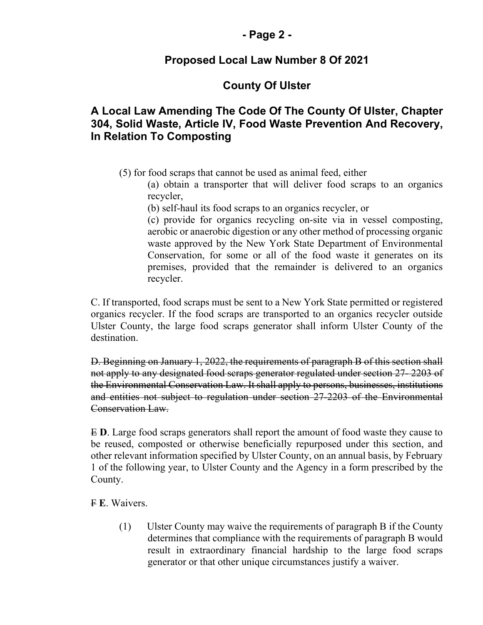#### **- Page 2 -**

### **Proposed Local Law Number 8 Of 2021**

## **County Of Ulster**

#### **A Local Law Amending The Code Of The County Of Ulster, Chapter 304, Solid Waste, Article IV, Food Waste Prevention And Recovery, In Relation To Composting**

(5) for food scraps that cannot be used as animal feed, either

(a) obtain a transporter that will deliver food scraps to an organics recycler,

(b) self-haul its food scraps to an organics recycler, or

(c) provide for organics recycling on-site via in vessel composting, aerobic or anaerobic digestion or any other method of processing organic waste approved by the New York State Department of Environmental Conservation, for some or all of the food waste it generates on its premises, provided that the remainder is delivered to an organics recycler.

C. If transported, food scraps must be sent to a New York State permitted or registered organics recycler. If the food scraps are transported to an organics recycler outside Ulster County, the large food scraps generator shall inform Ulster County of the destination.

D. Beginning on January 1, 2022, the requirements of paragraph B of this section shall not apply to any designated food scraps generator regulated under section 27- 2203 of the Environmental Conservation Law. It shall apply to persons, businesses, institutions and entities not subject to regulation under section 27-2203 of the Environmental Conservation Law.

E **D**. Large food scraps generators shall report the amount of food waste they cause to be reused, composted or otherwise beneficially repurposed under this section, and other relevant information specified by Ulster County, on an annual basis, by February 1 of the following year, to Ulster County and the Agency in a form prescribed by the County.

F **E**. Waivers.

(1) Ulster County may waive the requirements of paragraph B if the County determines that compliance with the requirements of paragraph B would result in extraordinary financial hardship to the large food scraps generator or that other unique circumstances justify a waiver.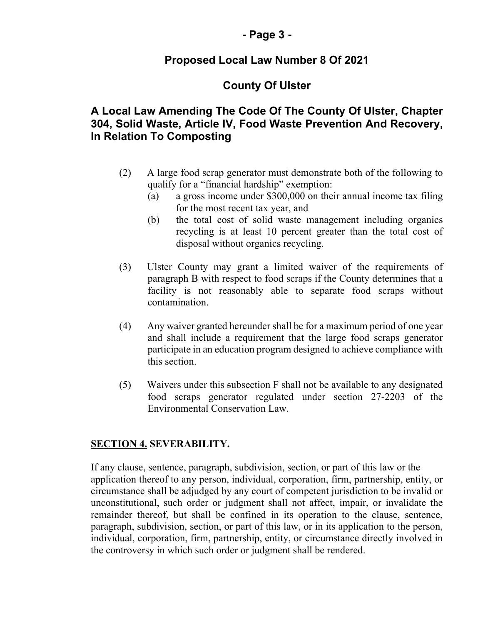#### **- Page 3 -**

### **Proposed Local Law Number 8 Of 2021**

## **County Of Ulster**

#### **A Local Law Amending The Code Of The County Of Ulster, Chapter 304, Solid Waste, Article IV, Food Waste Prevention And Recovery, In Relation To Composting**

- (2) A large food scrap generator must demonstrate both of the following to qualify for a "financial hardship" exemption:
	- (a) a gross income under \$300,000 on their annual income tax filing for the most recent tax year, and
	- (b) the total cost of solid waste management including organics recycling is at least 10 percent greater than the total cost of disposal without organics recycling.
- (3) Ulster County may grant a limited waiver of the requirements of paragraph B with respect to food scraps if the County determines that a facility is not reasonably able to separate food scraps without contamination.
- (4) Any waiver granted hereunder shall be for a maximum period of one year and shall include a requirement that the large food scraps generator participate in an education program designed to achieve compliance with this section.
- (5) Waivers under this subsection F shall not be available to any designated food scraps generator regulated under section 27-2203 of the Environmental Conservation Law.

#### **SECTION 4. SEVERABILITY.**

If any clause, sentence, paragraph, subdivision, section, or part of this law or the application thereof to any person, individual, corporation, firm, partnership, entity, or circumstance shall be adjudged by any court of competent jurisdiction to be invalid or unconstitutional, such order or judgment shall not affect, impair, or invalidate the remainder thereof, but shall be confined in its operation to the clause, sentence, paragraph, subdivision, section, or part of this law, or in its application to the person, individual, corporation, firm, partnership, entity, or circumstance directly involved in the controversy in which such order or judgment shall be rendered.